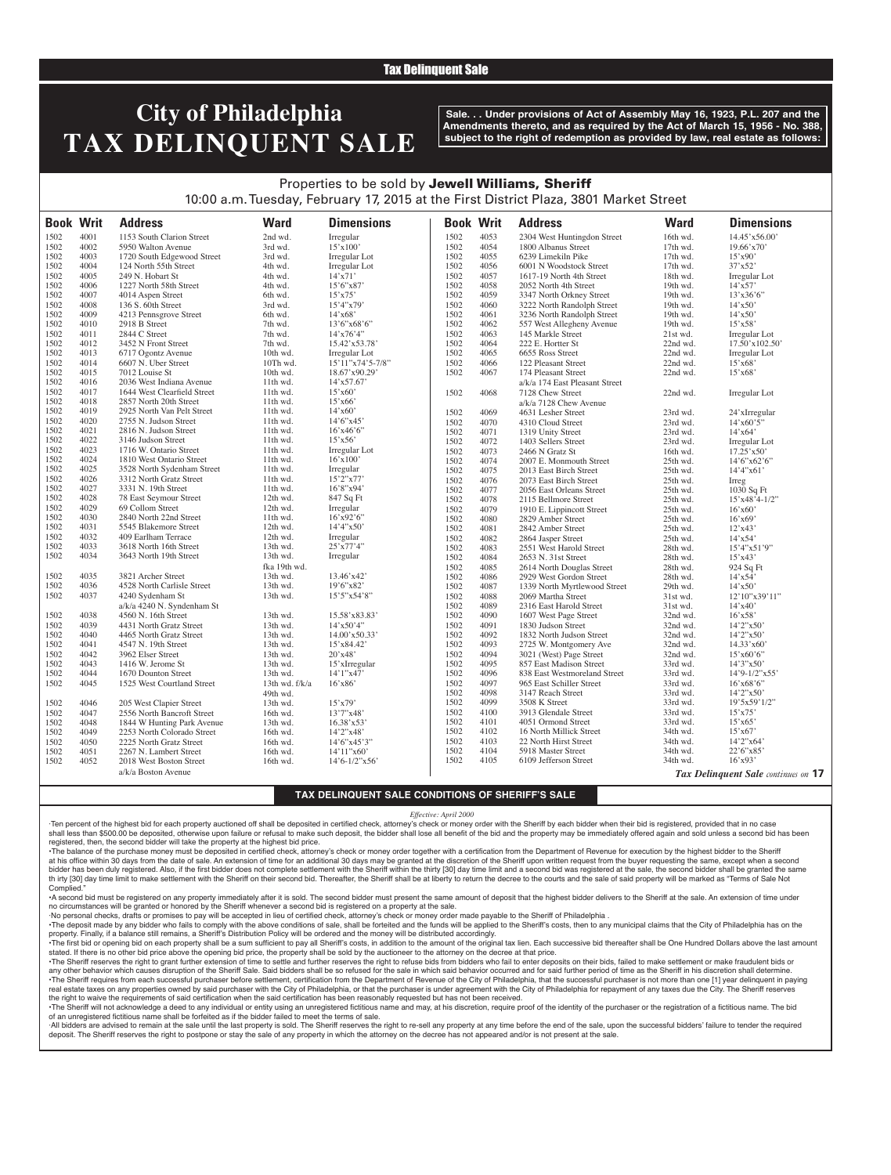#### Tax Delinquent Sale

# **City of Philadelphia TAX DELINQUENT SALE**

**Sale. . . Under provisions of Act of Assembly May 16, 1923, P.L. 207 and the Amendments thereto, and as required by the Act of March 15, 1956 - No. 388, subject to the right of redemption as provided by law, real estate as follows:**

### Properties to be sold by Jewell Williams, Sheriff 10:00 a.m. Tuesday, February 17, 2015 at the First District Plaza, 3801 Market Street

| <b>Book Writ</b> |      | <b>Address</b>              | <b>Ward</b>          | <b>Dimensions</b>                   | <b>Book Writ</b> |      | <b>Address</b>                 | <b>Ward</b> | <b>Dimensions</b>                          |
|------------------|------|-----------------------------|----------------------|-------------------------------------|------------------|------|--------------------------------|-------------|--------------------------------------------|
| 1502             | 4001 | 1153 South Clarion Street   | 2nd wd.              | Irregular                           | 1502             | 4053 | 2304 West Huntingdon Street    | 16th wd.    | 14.45'x56.00'                              |
| 1502             | 4002 | 5950 Walton Avenue          | 3rd wd.              | 15'x100'                            | 1502             | 4054 | 1800 Albanus Street            | $17th$ wd.  | $19.66'$ x 70'                             |
| 1502             | 4003 | 1720 South Edgewood Street  | 3rd wd.              | Irregular Lot                       | 1502             | 4055 | 6239 Limekiln Pike             | $17th$ wd.  | $15'$ x90'                                 |
| 1502             | 4004 | 124 North 55th Street       | 4th wd.              | Irregular Lot                       | 1502             | 4056 | 6001 N Woodstock Street        | 17th wd.    | $37'$ x52'                                 |
| 1502             | 4005 | 249 N. Hobart St            | 4th wd.              | $14'$ x 71'                         | 1502             | 4057 | 1617-19 North 4th Street       | 18th wd.    | Irregular Lot                              |
| 1502             | 4006 | 1227 North 58th Street      | 4th wd.              | 15'6"x87'                           | 1502             | 4058 | 2052 North 4th Street          | 19th wd.    | $14'$ x57'                                 |
| 1502             | 4007 | 4014 Aspen Street           | 6th wd.              | $15'$ x75'                          | 1502             | 4059 | 3347 North Orkney Street       | 19th wd.    | $13'$ x $36'6''$                           |
| 1502             | 4008 | 136 S. 60th Street          | 3rd wd.              | 15'4''x79'                          | 1502             | 4060 | 3222 North Randolph Street     | 19th wd.    | $14'$ x 50'                                |
| 1502             | 4009 | 4213 Pennsgrove Street      | 6th wd.              | $14'$ x68'                          | 1502             | 4061 | 3236 North Randolph Street     | 19th wd.    | $14'$ x50'                                 |
| 1502             | 4010 | 2918 B Street               | 7th wd.              | 13'6"x68'6"                         | 1502             | 4062 | 557 West Allegheny Avenue      | 19th wd.    | $15'$ x58'                                 |
| 1502             | 4011 | 2844 C Street               | 7th wd.              | $14'$ x76'4"                        | 1502             | 4063 | 145 Markle Street              | 21st wd.    | Irregular Lot                              |
| 1502             | 4012 | 3452 N Front Street         | 7th wd.              | 15.42'x53.78'                       | 1502             | 4064 | 222 E. Hortter St              | 22nd wd.    | $17.50'$ x $102.50'$                       |
| 1502             | 4013 | 6717 Ogontz Avenue          | 10th wd.             | Irregular Lot                       | 1502             | 4065 | 6655 Ross Street               | 22nd wd.    | Irregular Lot                              |
| 1502             | 4014 | 6607 N. Uber Street         | 10Th wd.             | 15'11"x74'5-7/8"                    | 1502             | 4066 | 122 Pleasant Street            | 22nd wd.    | $15'$ x68'                                 |
| 1502             | 4015 | 7012 Louise St              | 10th wd.             | 18.67'x90.29'                       | 1502             | 4067 | 174 Pleasant Street            | 22nd wd.    | $15'$ x68'                                 |
| 1502             | 4016 | 2036 West Indiana Avenue    | 11th wd.             | 14'x57.67'                          |                  |      | a/k/a 174 East Pleasant Street |             |                                            |
| 1502             | 4017 | 1644 West Clearfield Street | 11th wd.             | $15'$ x60'                          | 1502             | 4068 | 7128 Chew Street               | 22nd wd.    |                                            |
| 1502             | 4018 | 2857 North 20th Street      | 11th wd.             | 15'x66'                             |                  |      |                                |             | Irregular Lot                              |
| 1502             | 4019 | 2925 North Van Pelt Street  | 11th wd.             | $14'$ x60'                          |                  |      | a/k/a 7128 Chew Avenue         |             |                                            |
|                  | 4020 |                             | 11th wd.             | 14'6''x45'                          | 1502             | 4069 | 4631 Lesher Street             | 23rd wd.    | 24'xIrregular                              |
| 1502<br>1502     | 4021 | 2755 N. Judson Street       | 11th wd.             | 16'x46'6"                           | 1502             | 4070 | 4310 Cloud Street              | 23rd wd.    | $14'$ x60'5"                               |
|                  |      | 2816 N. Judson Street       |                      |                                     | 1502             | 4071 | 1319 Unity Street              | 23rd wd.    | $14'$ x64'                                 |
| 1502             | 4022 | 3146 Judson Street          | 11th wd.             | $15'$ x56'                          | 1502             | 4072 | 1403 Sellers Street            | 23rd wd.    | Irregular Lot                              |
| 1502             | 4023 | 1716 W. Ontario Street      | 11th wd.             | Irregular Lot                       | 1502             | 4073 | 2466 N Gratz St                | 16th wd.    | $17.25'$ x50'                              |
| 1502             | 4024 | 1810 West Ontario Street    | $11th$ wd.           | 16'x100'                            | 1502             | 4074 | 2007 E. Monmouth Street        | 25th wd.    | 14'6"x62'6"                                |
| 1502             | 4025 | 3528 North Sydenham Street  | 11th wd.             | Irregular                           | 1502             | 4075 | 2013 East Birch Street         | 25th wd.    | 14'4''x61'                                 |
| 1502             | 4026 | 3312 North Gratz Street     | 11th wd.             | 15'2''x77'                          | 1502             | 4076 | 2073 East Birch Street         | 25th wd.    | Irreg                                      |
| 1502             | 4027 | 3331 N. 19th Street         | 11th wd.             | 16'8''x94'                          | 1502             | 4077 | 2056 East Orleans Street       | 25th wd.    | 1030 Sq Ft                                 |
| 1502             | 4028 | 78 East Seymour Street      | 12th wd.             | 847 Sq Ft                           | 1502             | 4078 | 2115 Bellmore Street           | 25th wd.    | $15'x48'4-1/2"$                            |
| 1502             | 4029 | 69 Collom Street            | 12th wd.             | Irregular                           | 1502             | 4079 | 1910 E. Lippincott Street      | 25th wd.    | $16'$ x $60'$                              |
| 1502             | 4030 | 2840 North 22nd Street      | 11th wd.             | $16'$ x92'6"                        | 1502             | 4080 | 2829 Amber Street              | 25th wd.    | $16'$ x69'                                 |
| 1502             | 4031 | 5545 Blakemore Street       | 12th wd.             | 14'4"x50'                           | 1502             | 4081 | 2842 Amber Street              | 25th wd.    | $12'$ x 43'                                |
| 1502             | 4032 | 409 Earlham Terrace         | 12th wd.             | Irregular                           | 1502             | 4082 | 2864 Jasper Street             | 25th wd.    | $14'$ x54'                                 |
| 1502             | 4033 | 3618 North 16th Street      | 13th wd.             | $25'$ x77'4"                        | 1502             | 4083 | 2551 West Harold Street        | 28th wd.    | 15'4''x51'9"                               |
| 1502             | 4034 | 3643 North 19th Street      | 13th wd.             | Irregular                           | 1502             | 4084 | 2653 N. 31st Street            | 28th wd.    | 15'x43'                                    |
|                  |      |                             | fka 19th wd.         |                                     | 1502             | 4085 | 2614 North Douglas Street      | 28th wd.    | 924 Sq Ft                                  |
| 1502             | 4035 | 3821 Archer Street          | 13th wd.             | 13.46'x42'                          | 1502             | 4086 | 2929 West Gordon Street        | 28th wd.    | $14'$ x54'                                 |
| 1502             | 4036 | 4528 North Carlisle Street  | 13th wd.             | 19'6"x82'                           | 1502             | 4087 | 1339 North Myrtlewood Street   | 29th wd.    | $14'$ x50'                                 |
| 1502             | 4037 | 4240 Sydenham St            | 13th wd.             | 15'5''x54'8''                       | 1502             | 4088 | 2069 Martha Street             | 31st wd.    | 12'10"x39'11"                              |
|                  |      | a/k/a 4240 N. Syndenham St  |                      |                                     | 1502             | 4089 | 2316 East Harold Street        | 31st wd.    | $14'$ x 40'                                |
| 1502             | 4038 | 4560 N. 16th Street         | 13th wd.             | 15.58'x83.83'                       | 1502             | 4090 | 1607 West Page Street          | 32nd wd.    | $16'$ x58'                                 |
| 1502             | 4039 | 4431 North Gratz Street     | 13th wd.             | 14'x50'4"                           | 1502             | 4091 | 1830 Judson Street             | 32nd wd.    | 14'2''x50'                                 |
| 1502             | 4040 | 4465 North Gratz Street     | 13th wd.             | 14.00'x50.33'                       | 1502             | 4092 | 1832 North Judson Street       | 32nd wd.    | 14'2''x50'                                 |
| 1502             | 4041 | 4547 N. 19th Street         | 13th wd.             | 15'x84.42'                          | 1502             | 4093 | 2725 W. Montgomery Ave         | 32nd wd.    | $14.33'$ x60 <sup>°</sup>                  |
| 1502             | 4042 | 3962 Elser Street           | 13th wd.             | 20'x48'                             | 1502             | 4094 | 3021 (West) Page Street        | 32nd wd.    | $15'$ x60'6"                               |
| 1502             | 4043 | 1416 W. Jerome St           | 13th wd.             | $15'$ xIrregular                    | 1502             | 4095 | 857 East Madison Street        | 33rd wd.    | 14'3''x50'                                 |
| 1502             | 4044 | 1670 Dounton Street         | 13th wd.             | 14'1''x47'                          | 1502             | 4096 | 838 East Westmoreland Street   | 33rd wd.    | $14'9 - 1/2''x55'$                         |
| 1502             | 4045 | 1525 West Courtland Street  | 13th wd. $f/k/a$     | $16'$ x 86'                         | 1502             | 4097 | 965 East Schiller Street       | 33rd wd.    | $16'$ x68'6"                               |
|                  |      |                             | 49th wd.             |                                     | 1502             | 4098 | 3147 Reach Street              | 33rd wd.    | 14'2''x50'                                 |
| 1502             | 4046 | 205 West Clapier Street     | 13th wd.             | $15'$ x79'                          | 1502             | 4099 | 3508 K Street                  | 33rd wd.    | 19'5x59'1/2"                               |
| 1502             | 4047 | 2556 North Bancroft Street  | 16th wd.             | 13'7"x48'                           | 1502             | 4100 | 3913 Glendale Street           | 33rd wd.    | $15'$ x 75'                                |
| 1502             | 4048 | 1844 W Hunting Park Avenue  | 13th wd.             | $16.38'$ x53'                       | 1502             | 4101 | 4051 Ormond Street             | 33rd wd.    | 15'x65'                                    |
| 1502             | 4049 | 2253 North Colorado Street  | 16th wd.             | 14'2"x48'                           | 1502             | 4102 | 16 North Millick Street        | 34th wd.    | $15'$ x67'                                 |
| 1502             | 4050 | 2225 North Gratz Street     | 16th wd.             | 14'6"x45'3"                         | 1502             | 4103 | 22 North Hirst Street          | 34th wd.    | 14'2''x64'                                 |
| 1502             | 4051 | 2267 N. Lambert Street      |                      |                                     | 1502             | 4104 | 5918 Master Street             | 34th wd.    | 22'6''x85'                                 |
| 1502             | 4052 | 2018 West Boston Street     | 16th wd.<br>16th wd. | 14'11''x60'<br>$14'6 - 1/2''$ x 56' | 1502             | 4105 | 6109 Jefferson Street          | 34th wd.    | $16'$ x93'                                 |
|                  |      |                             |                      |                                     |                  |      |                                |             |                                            |
|                  |      | a/k/a Boston Avenue         |                      |                                     |                  |      |                                |             | <b>Tax Delinguent Sale</b> continues on 17 |

#### **TAX DELINQUENT SALE CONDITIONS OF SHERIFF'S SALE**

#### *Effective: April 2000*

·Ten percent of the highest bid for each property auctioned off shall be deposited in certified check, attorney's check or money order with the Sheriff by each bidder when their bid is registered, provided that in no case shall less than \$500.00 be deposited, otherwise upon failure or refusal to make such deposit, the bidder shall lose all benefit of the bid and the property may be immediately offered again and sold unless a second bid has registered, then, the second bidder will take the property at the highest bid price.

•The balance of the purchase money must be deposited in certified check, attorney's check or money order together with a certification from the Department of Revenue for execution by the highest bidder to the Sheriff at his office within 30 days from the date of sale. An extension of time for an additional 30 days may be granted at the discretion of the Sheriff upon written request from the buyer requesting the same, except when a seco bidder has been duly registered. Also, if the first bidder does not complete settlement with the Sheriff within the thirty [30] day time limit and a second bid was registered at the sale, the second bidder shall be granted th irty [30] day time limit to make settlement with the Sheriff on their second bid. Thereafter, the Sheriff shall be at liberty to return the decree to the courts and the sale of said property will be marked as "Terms of Complied.

•A second bid must be registered on any property immediately after it is sold. The second bidder must present the same amount of deposit that the highest bidder delivers to the Sheriff at the sale. An extension of time under no circumstances will be granted or honored by the Sheriff whenever a second bid is registered on a property at the sale.

·No personal checks, drafts or promises to pay will be accepted in lieu of certified check, attorney's check or money order made payable to the Sheriff of Philadelphia .

. The deposit made by any bidder who fails to comply with the above conditions of sale, shall be forteited and the funds will be applied to the Sheriff's costs, then to any municipal claims that the City of Philadelphia ha property. Finally, if a balance still remains, a Sheriff's Distribution Policy will be ordered and the money will be distributed accordingly.

The first bid or opening bid on each property shall be a sum sufficient to pay all Sheriff's costs, in addition to the amount of the original tax lien. Each successive bid thereafter shall be One Hundred Dollars above the stated. If there is no other bid price above the opening bid price, the property shall be sold by the auctioneer to the attorney on the decree at that price.

·The Sheriff reserves the right to grant further extension of time to settle and further reserves the right to refuse bids from bidders who fail to enter deposits on their bids, failed to make settlement or make fraudulent any other behavior which causes disruption of the Sheriff Sale. Said bidders shall be so refused for the sale in which said behavior occurred and for said further period of time as the Sheriff in his discretion shall deter The Sheriff requires from each successful purchaser before settlement, certification from the Department of Revenue of the City of Philadelphia, that the successful purchaser is not more than one [1] year delinguent in pay real estate taxes on any properties owned by said purchaser with the City of Philadelphia, or that the purchaser is under agreement with the City of Philadelphia for repayment of any taxes due the City. The Sheriff reserve the right to waive the requirements of said certification when the said certification has been reasonably requested but has not been received.

·The Sheriff will not acknowledge a deed to any individual or entity using an unregistered fictitious name and may, at his discretion, require proof of the identity of the purchaser or the registration of a fictitious name of an unregistered fictitious name shall be forfeited as if the bidder failed to meet the terms of sale.

All bidders are advised to remain at the sale until the last property is sold. The Sheriff reserves the right to re-sell any property at any time before the end of the sale, upon the successful bidders' failure to tender t deposit. The Sheriff reserves the right to postpone or stay the sale of any property in which the attorney on the decree has not appeared and/or is not present at the sale.